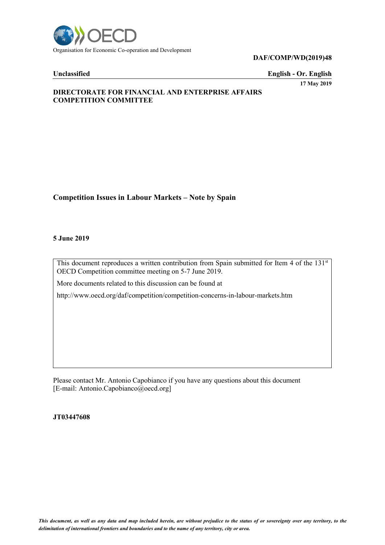

**DAF/COMP/WD(2019)48**

**Unclassified English - Or. English**

**17 May 2019**

# **DIRECTORATE FOR FINANCIAL AND ENTERPRISE AFFAIRS COMPETITION COMMITTEE**

# **Competition Issues in Labour Markets – Note by Spain**

#### **5 June 2019**

This document reproduces a written contribution from Spain submitted for Item 4 of the 131st OECD Competition committee meeting on 5-7 June 2019.

More documents related to this discussion can be found at

http://www.oecd.org/daf/competition/competition-concerns-in-labour-markets.htm

Please contact Mr. Antonio Capobianco if you have any questions about this document [E-mail: Antonio.Capobianco@oecd.org]

**JT03447608**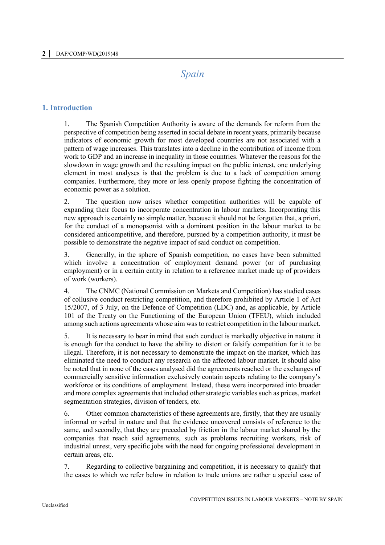# *Spain*

## **1. Introduction**

1. The Spanish Competition Authority is aware of the demands for reform from the perspective of competition being asserted in social debate in recent years, primarily because indicators of economic growth for most developed countries are not associated with a pattern of wage increases. This translates into a decline in the contribution of income from work to GDP and an increase in inequality in those countries. Whatever the reasons for the slowdown in wage growth and the resulting impact on the public interest, one underlying element in most analyses is that the problem is due to a lack of competition among companies. Furthermore, they more or less openly propose fighting the concentration of economic power as a solution.

2. The question now arises whether competition authorities will be capable of expanding their focus to incorporate concentration in labour markets. Incorporating this new approach is certainly no simple matter, because it should not be forgotten that, a priori, for the conduct of a monopsonist with a dominant position in the labour market to be considered anticompetitive, and therefore, pursued by a competition authority, it must be possible to demonstrate the negative impact of said conduct on competition.

3. Generally, in the sphere of Spanish competition, no cases have been submitted which involve a concentration of employment demand power (or of purchasing employment) or in a certain entity in relation to a reference market made up of providers of work (workers).

4. The CNMC (National Commission on Markets and Competition) has studied cases of collusive conduct restricting competition, and therefore prohibited by Article 1 of Act 15/2007, of 3 July, on the Defence of Competition (LDC) and, as applicable, by Article 101 of the Treaty on the Functioning of the European Union (TFEU), which included among such actions agreements whose aim was to restrict competition in the labour market.

5. It is necessary to bear in mind that such conduct is markedly objective in nature: it is enough for the conduct to have the ability to distort or falsify competition for it to be illegal. Therefore, it is not necessary to demonstrate the impact on the market, which has eliminated the need to conduct any research on the affected labour market. It should also be noted that in none of the cases analysed did the agreements reached or the exchanges of commercially sensitive information exclusively contain aspects relating to the company's workforce or its conditions of employment. Instead, these were incorporated into broader and more complex agreements that included other strategic variables such as prices, market segmentation strategies, division of tenders, etc.

6. Other common characteristics of these agreements are, firstly, that they are usually informal or verbal in nature and that the evidence uncovered consists of reference to the same, and secondly, that they are preceded by friction in the labour market shared by the companies that reach said agreements, such as problems recruiting workers, risk of industrial unrest, very specific jobs with the need for ongoing professional development in certain areas, etc.

7. Regarding to collective bargaining and competition, it is necessary to qualify that the cases to which we refer below in relation to trade unions are rather a special case of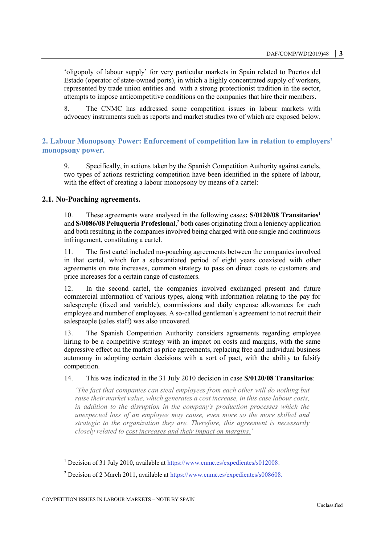'oligopoly of labour supply' for very particular markets in Spain related to Puertos del Estado (operator of state-owned ports), in which a highly concentrated supply of workers, represented by trade union entities and with a strong protectionist tradition in the sector, attempts to impose anticompetitive conditions on the companies that hire their members.

8. The CNMC has addressed some competition issues in labour markets with advocacy instruments such as reports and market studies two of which are exposed below.

# **2. Labour Monopsony Power: Enforcement of competition law in relation to employers' monopsony power.**

9. Specifically, in actions taken by the Spanish Competition Authority against cartels, two types of actions restricting competition have been identified in the sphere of labour, with the effect of creating a labour monopsony by means of a cartel:

### **2.1. No-Poaching agreements.**

10. These agreements were analysed in the following cases**: S/0120/08 Transitarios**<sup>1</sup> and **S/0086/08 Peluquería Profesional**, <sup>2</sup> both cases originating from a leniency application and both resulting in the companies involved being charged with one single and continuous infringement, constituting a cartel.

11. The first cartel included no-poaching agreements between the companies involved in that cartel, which for a substantiated period of eight years coexisted with other agreements on rate increases, common strategy to pass on direct costs to customers and price increases for a certain range of customers.

12. In the second cartel, the companies involved exchanged present and future commercial information of various types, along with information relating to the pay for salespeople (fixed and variable), commissions and daily expense allowances for each employee and number of employees. A so-called gentlemen's agreement to not recruit their salespeople (sales staff) was also uncovered.

13. The Spanish Competition Authority considers agreements regarding employee hiring to be a competitive strategy with an impact on costs and margins, with the same depressive effect on the market as price agreements, replacing free and individual business autonomy in adopting certain decisions with a sort of pact, with the ability to falsify competition.

#### 14. This was indicated in the 31 July 2010 decision in case **S/0120/08 Transitarios**:

*'The fact that companies can steal employees from each other will do nothing but raise their market value, which generates a cost increase, in this case labour costs, in addition to the disruption in the company's production processes which the unexpected loss of an employee may cause, even more so the more skilled and strategic to the organization they are. Therefore, this agreement is necessarily closely related to cost increases and their impact on margins.'* 

 $\overline{a}$ 

<sup>&</sup>lt;sup>1</sup> Decision of 31 July 2010, available at [https://www.cnmc.es/expedientes/s012008.](https://www.cnmc.es/expedientes/s012008)

<sup>&</sup>lt;sup>2</sup> Decision of 2 March 2011, available at  $\frac{https://www.cnmc.es/expedientes/s008608.}{https://www.cnmc.es/expedientes/s008608.}$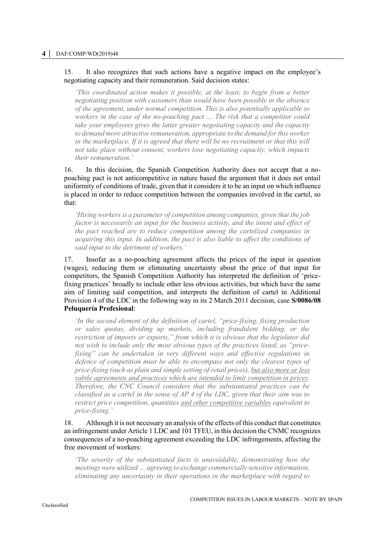#### 15. It also recognizes that such actions have a negative impact on the employee's negotiating capacity and their remuneration. Said decision states:

*'This coordinated action makes it possible, at the least, to begin from a better negotiating position with customers than would have been possible in the absence of the agreement, under normal competition. This is also potentially applicable to workers in the case of the no-poaching pact … The risk that a competitor could take your employees gives the latter greater negotiating capacity and the capacity to demand more attractive remuneration, appropriate to the demand for this worker in the marketplace. If it is agreed that there will be no recruitment or that this will not take place without consent, workers lose negotiating capacity, which impacts their remuneration.'* 

16. In this decision, the Spanish Competition Authority does not accept that a nopoaching pact is not anticompetitive in nature based the argument that it does not entail uniformity of conditions of trade, given that it considers it to be an input on which influence is placed in order to reduce competition between the companies involved in the cartel, so that:

*'Hiring workers is a parameter of competition among companies, given that the job factor is necessarily an input for the business activity, and the intent and effect of the pact reached are to reduce competition among the cartelized companies in acquiring this input. In addition, the pact is also liable to affect the conditions of said input to the detriment of workers.'* 

17. Insofar as a no-poaching agreement affects the prices of the input in question (wages), reducing them or eliminating uncertainty about the price of that input for competitors, the Spanish Competition Authority has interpreted the definition of 'pricefixing practices' broadly to include other less obvious activities, but which have the same aim of limiting said competition, and interprets the definition of cartel in Additional Provision 4 of the LDC in the following way in its 2 March 2011 decision, case **S/0086/08 Peluquería Profesional**:

*'In the second element of the definition of cartel, "price-fixing, fixing production or sales quotas, dividing up markets, including fraudulent bidding, or the restriction of imports or exports," from which it is obvious that the legislator did not wish to include only the most obvious types of the practices listed, as "pricefixing" can be undertaken in very different ways and effective regulations in defence of competition must be able to encompass not only the clearest types of price-fixing (such as plain and simple setting of retail prices), but also more or less subtle agreements and practices which are intended to limit competition in prices. Therefore, the CNC Council considers that the substantiated practices can be classified as a cartel in the sense of AP 4 of the LDC, given that their aim was to restrict price competition, quantities and other competitive variables equivalent to price-fixing.'*

18. Although it is not necessary an analysis of the effects of this conduct that constitutes an infringement under Article 1 LDC and 101 TFEU, in this decision the CNMC recognizes consequences of a no-poaching agreement exceeding the LDC infringements, affecting the free movement of workers:

*'The severity of the substantiated facts is unavoidable, demonstrating how the meetings were utilized … agreeing to exchange commercially sensitive information, eliminating any uncertainty in their operations in the marketplace with regard to*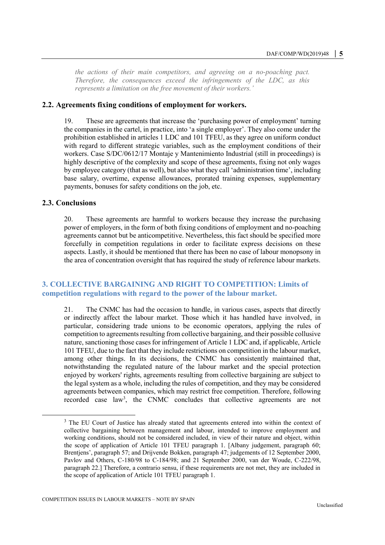*the actions of their main competitors, and agreeing on a no-poaching pact. Therefore, the consequences exceed the infringements of the LDC, as this represents a limitation on the free movement of their workers.'*

#### **2.2. Agreements fixing conditions of employment for workers.**

19. These are agreements that increase the 'purchasing power of employment' turning the companies in the cartel, in practice, into 'a single employer'. They also come under the prohibition established in articles 1 LDC and 101 TFEU, as they agree on uniform conduct with regard to different strategic variables, such as the employment conditions of their workers. Case S/DC/0612/17 Montaje y Mantenimiento Industrial (still in proceedings) is highly descriptive of the complexity and scope of these agreements, fixing not only wages by employee category (that as well), but also what they call 'administration time', including base salary, overtime, expense allowances, prorated training expenses, supplementary payments, bonuses for safety conditions on the job, etc.

#### **2.3. Conclusions**

20. These agreements are harmful to workers because they increase the purchasing power of employers, in the form of both fixing conditions of employment and no-poaching agreements cannot but be anticompetitive. Nevertheless, this fact should be specified more forcefully in competition regulations in order to facilitate express decisions on these aspects. Lastly, it should be mentioned that there has been no case of labour monopsony in the area of concentration oversight that has required the study of reference labour markets.

# **3. COLLECTIVE BARGAINING AND RIGHT TO COMPETITION: Limits of competition regulations with regard to the power of the labour market.**

21. The CNMC has had the occasion to handle, in various cases, aspects that directly or indirectly affect the labour market. Those which it has handled have involved, in particular, considering trade unions to be economic operators, applying the rules of competition to agreements resulting from collective bargaining, and their possible collusive nature, sanctioning those cases for infringement of Article 1 LDC and, if applicable, Article 101 TFEU, due to the fact that they include restrictions on competition in the labour market, among other things. In its decisions, the CNMC has consistently maintained that, notwithstanding the regulated nature of the labour market and the special protection enjoyed by workers' rights, agreements resulting from collective bargaining are subject to the legal system as a whole, including the rules of competition, and they may be considered agreements between companies, which may restrict free competition. Therefore, following recorded case law<sup>3</sup>, the CNMC concludes that collective agreements are not

<sup>&</sup>lt;sup>3</sup> The EU Court of Justice has already stated that agreements entered into within the context of collective bargaining between management and labour, intended to improve employment and working conditions, should not be considered included, in view of their nature and object, within the scope of application of Article 101 TFEU paragraph 1. [Albany judgement, paragraph 60; Brentjens', paragraph 57; and Drijvende Bokken, paragraph 47; judgements of 12 September 2000, Pavlov and Others, C-180/98 to C-184/98; and 21 September 2000, van der Woude, C-222/98, paragraph 22.] Therefore, a contrario sensu, if these requirements are not met, they are included in the scope of application of Article 101 TFEU paragraph 1.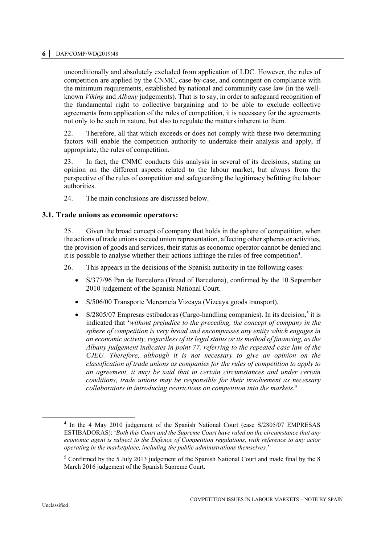#### **6 │** DAF/COMP/WD(2019)48

unconditionally and absolutely excluded from application of LDC. However, the rules of competition are applied by the CNMC, case-by-case, and contingent on compliance with the minimum requirements, established by national and community case law (in the wellknown *Viking* and *Albany* judgements). That is to say, in order to safeguard recognition of the fundamental right to collective bargaining and to be able to exclude collective agreements from application of the rules of competition, it is necessary for the agreements not only to be such in nature, but also to regulate the matters inherent to them.

22. Therefore, all that which exceeds or does not comply with these two determining factors will enable the competition authority to undertake their analysis and apply, if appropriate, the rules of competition.

23. In fact, the CNMC conducts this analysis in several of its decisions, stating an opinion on the different aspects related to the labour market, but always from the perspective of the rules of competition and safeguarding the legitimacy befitting the labour authorities.

24. The main conclusions are discussed below.

#### **3.1. Trade unions as economic operators:**

25. Given the broad concept of company that holds in the sphere of competition, when the actions of trade unions exceed union representation, affecting other spheres or activities, the provision of goods and services, their status as economic operator cannot be denied and it is possible to analyse whether their actions infringe the rules of free competition<sup>4</sup>.

26. This appears in the decisions of the Spanish authority in the following cases:

- S/377/96 Pan de Barcelona (Bread of Barcelona), confirmed by the 10 September 2010 judgement of the Spanish National Court.
- S/506/00 Transporte Mercancía Vizcaya (Vizcaya goods transport).
- $\bullet$  S/2805/07 Empresas estibadoras (Cargo-handling companies). In its decision,<sup>5</sup> it is indicated that **'***without prejudice to the preceding, the concept of company in the sphere of competition is very broad and encompasses any entity which engages in an economic activity, regardless of its legal status or its method of financing, as the Albany judgement indicates in point 77, referring to the repeated case law of the CJEU. Therefore, although it is not necessary to give an opinion on the classification of trade unions as companies for the rules of competition to apply to an agreement, it may be said that in certain circumstances and under certain conditions, trade unions may be responsible for their involvement as necessary collaborators in introducing restrictions on competition into the markets.***'**

 $\overline{a}$ 

<sup>&</sup>lt;sup>4</sup> In the 4 May 2010 judgement of the Spanish National Court (case S/2805/07 EMPRESAS ESTIBADORAS): '*Both this Court and the Supreme Court have ruled on the circumstance that any economic agent is subject to the Defence of Competition regulations, with reference to any actor operating in the marketplace, including the public administrations themselves.*'

<sup>&</sup>lt;sup>5</sup> Confirmed by the 5 July 2013 judgement of the Spanish National Court and made final by the 8 March 2016 judgement of the Spanish Supreme Court.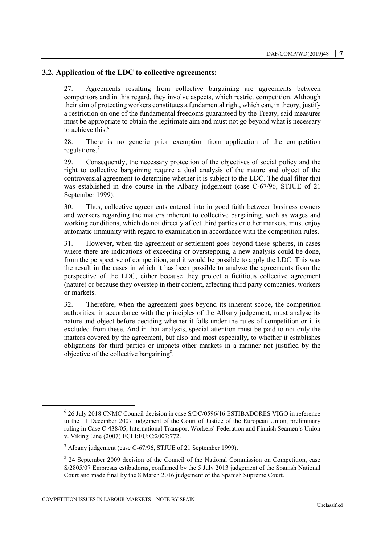# **3.2. Application of the LDC to collective agreements:**

27. Agreements resulting from collective bargaining are agreements between competitors and in this regard, they involve aspects, which restrict competition. Although their aim of protecting workers constitutes a fundamental right, which can, in theory, justify a restriction on one of the fundamental freedoms guaranteed by the Treaty, said measures must be appropriate to obtain the legitimate aim and must not go beyond what is necessary to achieve this.<sup>6</sup>

28. There is no generic prior exemption from application of the competition regulations.<sup>7</sup>

29. Consequently, the necessary protection of the objectives of social policy and the right to collective bargaining require a dual analysis of the nature and object of the controversial agreement to determine whether it is subject to the LDC. The dual filter that was established in due course in the Albany judgement (case C-67/96, STJUE of 21 September 1999).

30. Thus, collective agreements entered into in good faith between business owners and workers regarding the matters inherent to collective bargaining, such as wages and working conditions, which do not directly affect third parties or other markets, must enjoy automatic immunity with regard to examination in accordance with the competition rules.

31. However, when the agreement or settlement goes beyond these spheres, in cases where there are indications of exceeding or overstepping, a new analysis could be done, from the perspective of competition, and it would be possible to apply the LDC. This was the result in the cases in which it has been possible to analyse the agreements from the perspective of the LDC, either because they protect a fictitious collective agreement (nature) or because they overstep in their content, affecting third party companies, workers or markets.

32. Therefore, when the agreement goes beyond its inherent scope, the competition authorities, in accordance with the principles of the Albany judgement, must analyse its nature and object before deciding whether it falls under the rules of competition or it is excluded from these. And in that analysis, special attention must be paid to not only the matters covered by the agreement, but also and most especially, to whether it establishes obligations for third parties or impacts other markets in a manner not justified by the objective of the collective bargaining<sup>8</sup>.

<sup>&</sup>lt;sup>6</sup> 26 July 2018 CNMC Council decision in case S/DC/0596/16 ESTIBADORES VIGO in reference to the 11 December 2007 judgement of the Court of Justice of the European Union, preliminary ruling in Case C-438/05, International Transport Workers' Federation and Finnish Seamen's Union v. Viking Line (2007) ECLI:EU:C:2007:772.

 $^7$  Albany judgement (case C-67/96, STJUE of 21 September 1999).

<sup>&</sup>lt;sup>8</sup> 24 September 2009 decision of the Council of the National Commission on Competition, case S/2805/07 Empresas estibadoras, confirmed by the 5 July 2013 judgement of the Spanish National Court and made final by the 8 March 2016 judgement of the Spanish Supreme Court.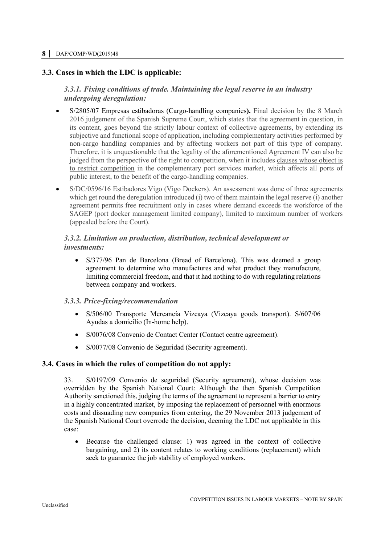#### **8 │** DAF/COMP/WD(2019)48

# **3.3. Cases in which the LDC is applicable:**

# *3.3.1. Fixing conditions of trade. Maintaining the legal reserve in an industry undergoing deregulation:*

- S/2805/07 Empresas estibadoras (Cargo-handling companies**).** Final decision by the 8 March 2016 judgement of the Spanish Supreme Court, which states that the agreement in question, in its content, goes beyond the strictly labour context of collective agreements, by extending its subjective and functional scope of application, including complementary activities performed by non-cargo handling companies and by affecting workers not part of this type of company. Therefore, it is unquestionable that the legality of the aforementioned Agreement IV can also be judged from the perspective of the right to competition, when it includes clauses whose object is to restrict competition in the complementary port services market, which affects all ports of public interest, to the benefit of the cargo-handling companies.
- S/DC/0596/16 Estibadores Vigo (Vigo Dockers). An assessment was done of three agreements which get round the deregulation introduced (i) two of them maintain the legal reserve (i) another agreement permits free recruitment only in cases where demand exceeds the workforce of the SAGEP (port docker management limited company), limited to maximum number of workers (appealed before the Court).

# *3.3.2. Limitation on production, distribution, technical development or investments:*

 S/377/96 Pan de Barcelona (Bread of Barcelona). This was deemed a group agreement to determine who manufactures and what product they manufacture, limiting commercial freedom, and that it had nothing to do with regulating relations between company and workers.

# *3.3.3. Price-fixing/recommendation*

- S/506/00 Transporte Mercancía Vizcaya (Vizcaya goods transport). S/607/06 Ayudas a domicilio (In-home help).
- S/0076/08 Convenio de Contact Center (Contact centre agreement).
- S/0077/08 Convenio de Seguridad (Security agreement).

#### **3.4. Cases in which the rules of competition do not apply:**

33. S/0197/09 Convenio de seguridad (Security agreement), whose decision was overridden by the Spanish National Court: Although the then Spanish Competition Authority sanctioned this, judging the terms of the agreement to represent a barrier to entry in a highly concentrated market, by imposing the replacement of personnel with enormous costs and dissuading new companies from entering, the 29 November 2013 judgement of the Spanish National Court overrode the decision, deeming the LDC not applicable in this case:

 Because the challenged clause: 1) was agreed in the context of collective bargaining, and 2) its content relates to working conditions (replacement) which seek to guarantee the job stability of employed workers.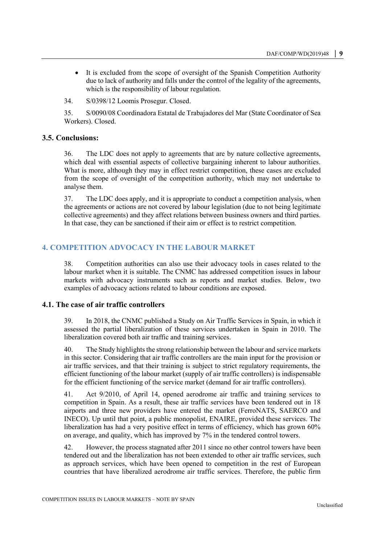It is excluded from the scope of oversight of the Spanish Competition Authority due to lack of authority and falls under the control of the legality of the agreements, which is the responsibility of labour regulation.

34. S/0398/12 Loomis Prosegur. Closed.

35. S/0090/08 Coordinadora Estatal de Trabajadores del Mar (State Coordinator of Sea Workers). Closed.

#### **3.5. Conclusions:**

36. The LDC does not apply to agreements that are by nature collective agreements, which deal with essential aspects of collective bargaining inherent to labour authorities. What is more, although they may in effect restrict competition, these cases are excluded from the scope of oversight of the competition authority, which may not undertake to analyse them.

37. The LDC does apply, and it is appropriate to conduct a competition analysis, when the agreements or actions are not covered by labour legislation (due to not being legitimate collective agreements) and they affect relations between business owners and third parties. In that case, they can be sanctioned if their aim or effect is to restrict competition.

# **4. COMPETITION ADVOCACY IN THE LABOUR MARKET**

38. Competition authorities can also use their advocacy tools in cases related to the labour market when it is suitable. The CNMC has addressed competition issues in labour markets with advocacy instruments such as reports and market studies. Below, two examples of advocacy actions related to labour conditions are exposed.

#### **4.1. The case of air traffic controllers**

39. In 2018, the CNMC published a Study on Air Traffic Services in Spain, in which it assessed the partial liberalization of these services undertaken in Spain in 2010. The liberalization covered both air traffic and training services.

40. The Study highlights the strong relationship between the labour and service markets in this sector. Considering that air traffic controllers are the main input for the provision or air traffic services, and that their training is subject to strict regulatory requirements, the efficient functioning of the labour market (supply of air traffic controllers) is indispensable for the efficient functioning of the service market (demand for air traffic controllers).

41. Act 9/2010, of April 14, opened aerodrome air traffic and training services to competition in Spain. As a result, these air traffic services have been tendered out in 18 airports and three new providers have entered the market (FerroNATS, SAERCO and INECO). Up until that point, a public monopolist, ENAIRE, provided these services. The liberalization has had a very positive effect in terms of efficiency, which has grown 60% on average, and quality, which has improved by 7% in the tendered control towers.

42. However, the process stagnated after 2011 since no other control towers have been tendered out and the liberalization has not been extended to other air traffic services, such as approach services, which have been opened to competition in the rest of European countries that have liberalized aerodrome air traffic services. Therefore, the public firm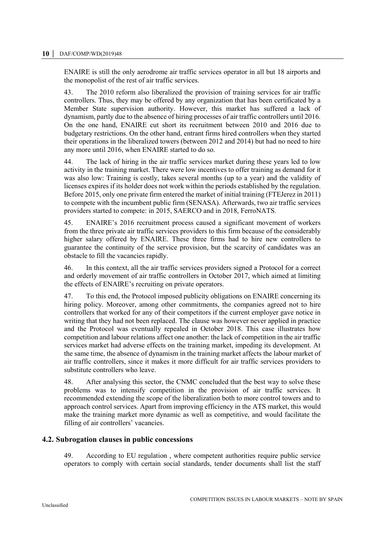#### **10 │** DAF/COMP/WD(2019)48

ENAIRE is still the only aerodrome air traffic services operator in all but 18 airports and the monopolist of the rest of air traffic services.

43. The 2010 reform also liberalized the provision of training services for air traffic controllers. Thus, they may be offered by any organization that has been certificated by a Member State supervision authority. However, this market has suffered a lack of dynamism, partly due to the absence of hiring processes of air traffic controllers until 2016. On the one hand, ENAIRE cut short its recruitment between 2010 and 2016 due to budgetary restrictions. On the other hand, entrant firms hired controllers when they started their operations in the liberalized towers (between 2012 and 2014) but had no need to hire any more until 2016, when ENAIRE started to do so.

44. The lack of hiring in the air traffic services market during these years led to low activity in the training market. There were low incentives to offer training as demand for it was also low: Training is costly, takes several months (up to a year) and the validity of licenses expires if its holder does not work within the periods established by the regulation. Before 2015, only one private firm entered the market of initial training (FTEJerez in 2011) to compete with the incumbent public firm (SENASA). Afterwards, two air traffic services providers started to compete: in 2015, SAERCO and in 2018, FerroNATS.

45. ENAIRE's 2016 recruitment process caused a significant movement of workers from the three private air traffic services providers to this firm because of the considerably higher salary offered by ENAIRE. These three firms had to hire new controllers to guarantee the continuity of the service provision, but the scarcity of candidates was an obstacle to fill the vacancies rapidly.

46. In this context, all the air traffic services providers signed a Protocol for a correct and orderly movement of air traffic controllers in October 2017, which aimed at limiting the effects of ENAIRE's recruiting on private operators.

47. To this end, the Protocol imposed publicity obligations on ENAIRE concerning its hiring policy. Moreover, among other commitments, the companies agreed not to hire controllers that worked for any of their competitors if the current employer gave notice in writing that they had not been replaced. The clause was however never applied in practice and the Protocol was eventually repealed in October 2018. This case illustrates how competition and labour relations affect one another: the lack of competition in the air traffic services market had adverse effects on the training market, impeding its development. At the same time, the absence of dynamism in the training market affects the labour market of air traffic controllers, since it makes it more difficult for air traffic services providers to substitute controllers who leave.

48. After analysing this sector, the CNMC concluded that the best way to solve these problems was to intensify competition in the provision of air traffic services. It recommended extending the scope of the liberalization both to more control towers and to approach control services. Apart from improving efficiency in the ATS market, this would make the training market more dynamic as well as competitive, and would facilitate the filling of air controllers' vacancies.

#### **4.2. Subrogation clauses in public concessions**

49. According to EU regulation , where competent authorities require public service operators to comply with certain social standards, tender documents shall list the staff